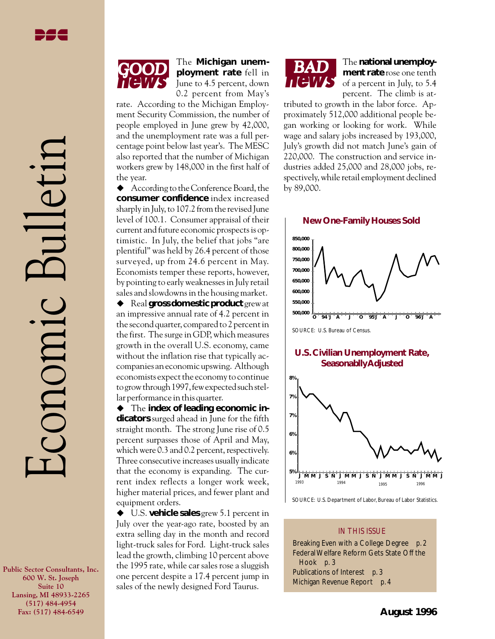Economic Bulletin

CONOMIC

## The **Michigan unemployment rate** fell in June to 4.5 percent, down 0.2 percent from May's

rate. According to the Michigan Employment Security Commission, the number of people employed in June grew by 42,000, and the unemployment rate was a full percentage point below last year's. The MESC also reported that the number of Michigan workers grew by 148,000 in the first half of the year.

 $\blacklozenge$  According to the Conference Board, the **consumer confidence** index increased sharply in July, to 107.2 from the revised June level of 100.1. Consumer appraisal of their current and future economic prospects is optimistic. In July, the belief that jobs "are plentiful" was held by 26.4 percent of those surveyed, up from 24.6 percent in May. Economists temper these reports, however, by pointing to early weaknesses in July retail sales and slowdowns in the housing market.

◆ Real **gross domestic product** grew at an impressive annual rate of 4.2 percent in the second quarter, compared to 2 percent in the first. The surge in GDP, which measures growth in the overall U.S. economy, came without the inflation rise that typically accompanies an economic upswing. Although economists expect the economy to continue to grow through 1997, few expected such stellar performance in this quarter.

 $\blacklozenge$  The **index of leading economic indicators** surged ahead in June for the fifth straight month. The strong June rise of 0.5 percent surpasses those of April and May, which were 0.3 and 0.2 percent, respectively. Three consecutive increases usually indicate that the economy is expanding. The current index reflects a longer work week, higher material prices, and fewer plant and equipment orders.

◆ U.S. **vehicle sales** grew 5.1 percent in July over the year-ago rate, boosted by an extra selling day in the month and record light-truck sales for Ford. Light-truck sales lead the growth, climbing 10 percent above the 1995 rate, while car sales rose a sluggish one percent despite a 17.4 percent jump in sales of the newly designed Ford Taurus.



### The **national unemployment rate** rose one tenth of a percent in July, to 5.4 percent. The climb is at-

tributed to growth in the labor force. Approximately 512,000 additional people began working or looking for work. While wage and salary jobs increased by 193,000, July's growth did not match June's gain of 220,000. The construction and service industries added 25,000 and 28,000 jobs, respectively, while retail employment declined by 89,000.

#### **New One-Family Houses Sold**



SOURCE: U.S. Bureau of Census.

### **U.S. Civilian Unemployment Rate, Seasonablly Adjusted**



SOURCE: U.S. Department of Labor, Bureau of Labor Statistics.

### IN THIS ISSUE

Breaking Even with a College Degree *p. 2* Federal Welfare Reform Gets State Off the Hook *p. 3* Publications of Interest *p. 3* Michigan Revenue Report *p. 4*

**Public Sector Consultants, Inc. 600 W. St. Joseph Suite 10 Lansing, MI 48933-2265 (517) 484-4954 Fax: (517) 484-6549**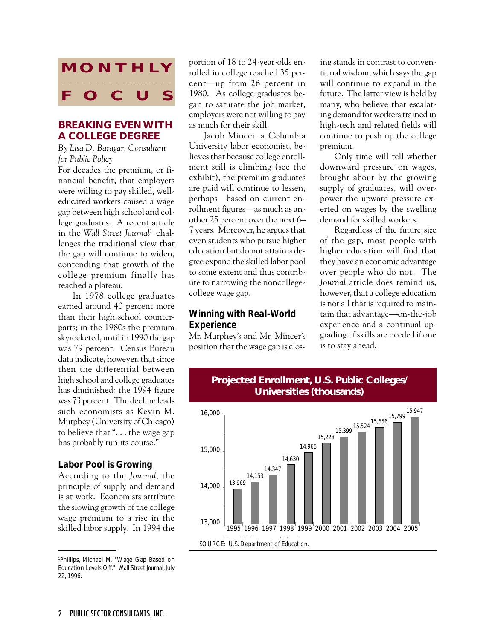

# **BREAKING EVEN WITH A COLLEGE DEGREE**

*By Lisa D. Baragar, Consultant for Public Policy*

For decades the premium, or financial benefit, that employers were willing to pay skilled, welleducated workers caused a wage gap between high school and college graduates. A recent article in the *Wall Street Journal*1 challenges the traditional view that the gap will continue to widen, contending that growth of the college premium finally has reached a plateau.

In 1978 college graduates earned around 40 percent more than their high school counterparts; in the 1980s the premium skyrocketed, until in 1990 the gap was 79 percent. Census Bureau data indicate, however, that since then the differential between high school and college graduates has diminished: the 1994 figure was 73 percent. The decline leads such economists as Kevin M. Murphey (University of Chicago) to believe that ". . . the wage gap has probably run its course."

### *Labor Pool is Growing*

According to the *Journal*, the principle of supply and demand is at work. Economists attribute the slowing growth of the college wage premium to a rise in the skilled labor supply. In 1994 the portion of 18 to 24-year-olds enrolled in college reached 35 percent—up from 26 percent in 1980. As college graduates began to saturate the job market, employers were not willing to pay as much for their skill.

Jacob Mincer, a Columbia University labor economist, believes that because college enrollment still is climbing (see the exhibit), the premium graduates are paid will continue to lessen, perhaps—based on current enrollment figures—as much as another 25 percent over the next 6– 7 years. Moreover, he argues that even students who pursue higher education but do not attain a degree expand the skilled labor pool to some extent and thus contribute to narrowing the noncollegecollege wage gap.

## *Winning with Real-World Experience*

Mr. Murphey's and Mr. Mincer's position that the wage gap is closing stands in contrast to conventional wisdom, which says the gap will continue to expand in the future. The latter view is held by many, who believe that escalating demand for workers trained in high-tech and related fields will continue to push up the college premium.

Only time will tell whether downward pressure on wages, brought about by the growing supply of graduates, will overpower the upward pressure exerted on wages by the swelling demand for skilled workers.

Regardless of the future size of the gap, most people with higher education will find that they have an economic advantage over people who do not. The *Journal* article does remind us, however, that a college education is not all that is required to maintain that advantage—on-the-job experience and a continual upgrading of skills are needed if one is to stay ahead.



## **Projected Enrollment, U.S. Public Colleges/ Universities (thousands)**

<sup>1</sup> Phillips, Michael M. "Wage Gap Based on Education Levels Off." *Wall Street Journal*, July 22, 1996.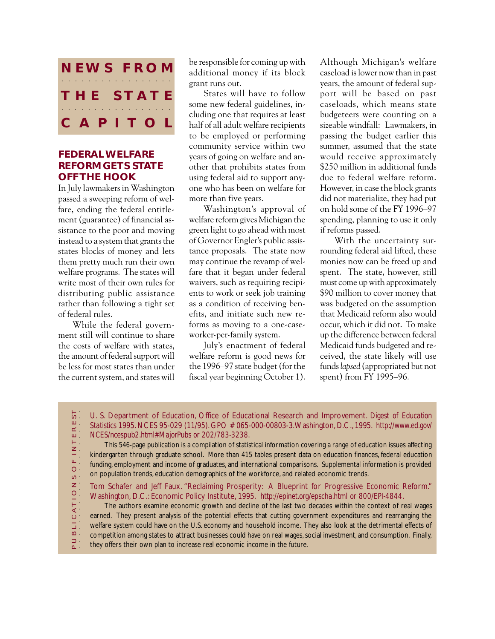

## **FEDERAL WELFARE REFORM GETS STATE OFF THE HOOK**

In July lawmakers in Washington passed a sweeping reform of welfare, ending the federal entitlement (guarantee) of financial assistance to the poor and moving instead to a system that grants the states blocks of money and lets them pretty much run their own welfare programs. The states will write most of their own rules for distributing public assistance rather than following a tight set of federal rules.

While the federal government still will continue to share the costs of welfare with states, the amount of federal support will be less for most states than under the current system, and states will

 $\sim$ .

be responsible for coming up with additional money if its block grant runs out.

States will have to follow some new federal guidelines, including one that requires at least half of all adult welfare recipients to be employed or performing community service within two years of going on welfare and another that prohibits states from using federal aid to support anyone who has been on welfare for more than five years.

Washington's approval of welfare reform gives Michigan the green light to go ahead with most of Governor Engler's public assistance proposals. The state now may continue the revamp of welfare that it began under federal waivers, such as requiring recipients to work or seek job training as a condition of receiving benefits, and initiate such new reforms as moving to a one-caseworker-per-family system.

July's enactment of federal welfare reform is good news for the 1996–97 state budget (for the fiscal year beginning October 1).

Although Michigan's welfare caseload is lower now than in past years, the amount of federal support will be based on past caseloads, which means state budgeteers were counting on a sizeable windfall: Lawmakers, in passing the budget earlier this summer, assumed that the state would receive approximately \$250 million in additional funds due to federal welfare reform. However, in case the block grants did not materialize, they had put on hold some of the FY 1996–97 spending, planning to use it only if reforms passed.

With the uncertainty surrounding federal aid lifted, these monies now can be freed up and spent. The state, however, still must come up with approximately \$90 million to cover money that was budgeted on the assumption that Medicaid reform also would occur, which it did not. To make up the difference between federal Medicaid funds budgeted and received, the state likely will use funds *lapsed* (appropriated but not spent) from FY 1995–96.

 $5^{\circ}$  . P U B L I C A T I O N S O F I N T E R E S T U. S. Department of Education, Office of Educational Research and Improvement. *Digest of Education* ш. *Statistics* 1995. NCES 95-029 (11/95). GPO # 065-000-00803-3. Washington, D.C., 1995. *http://www.ed.gov/*  $\simeq$  . OF INTER *NCES/ncespub2.html#MajorPubs or 202/783-3238.*

This 546-page publication is a compilation of statistical information covering a range of education issues affecting kindergarten through graduate school. More than 415 tables present data on education finances, federal education funding, employment and income of graduates, and international comparisons. Supplemental information is provided on population trends, education demographics of the workforce, and related economic trends.

Tom Schafer and Jeff Faux. "Reclaiming Prosperity: A Blueprint for Progressive Economic Reform." Washington, D.C.: Economic Policy Institute, 1995. *http://epinet.org/epscha.html or 800/EPI-4844*.

**BLICATIONS** The authors examine economic growth and decline of the last two decades within the context of real wages earned. They present analysis of the potential effects that cutting government expenditures and rearranging the welfare system could have on the U.S. economy and household income. They also look at the detrimental effects of competition among states to attract businesses could have on real wages, social investment, and consumption. Finally,  $\Box$ they offers their own plan to increase real economic income in the future.